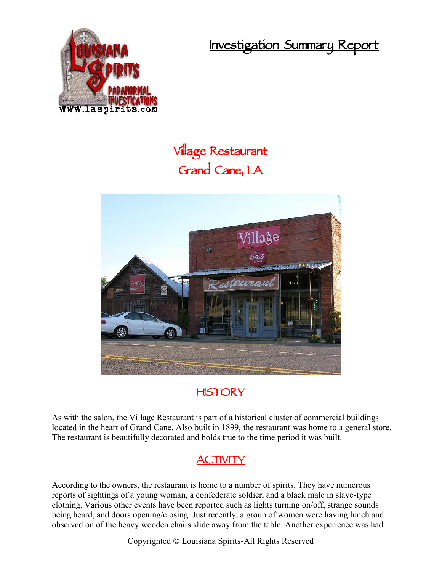**Investigation Summary Report**



**Village Restaurant Grand Cane, LA**



## **HISTORY**

As with the salon, the Village Restaurant is part of a historical cluster of commercial buildings located in the heart of Grand Cane. Also built in 1899, the restaurant was home to a general store. The restaurant is beautifully decorated and holds true to the time period it was built.

## **ACTIVITY**

According to the owners, the restaurant is home to a number of spirits. They have numerous reports of sightings of a young woman, a confederate soldier, and a black male in slave-type clothing. Various other events have been reported such as lights turning on/off, strange sounds being heard, and doors opening/closing. Just recently, a group of women were having lunch and observed on of the heavy wooden chairs slide away from the table. Another experience was had

Copyrighted © Louisiana Spirits-All Rights Reserved